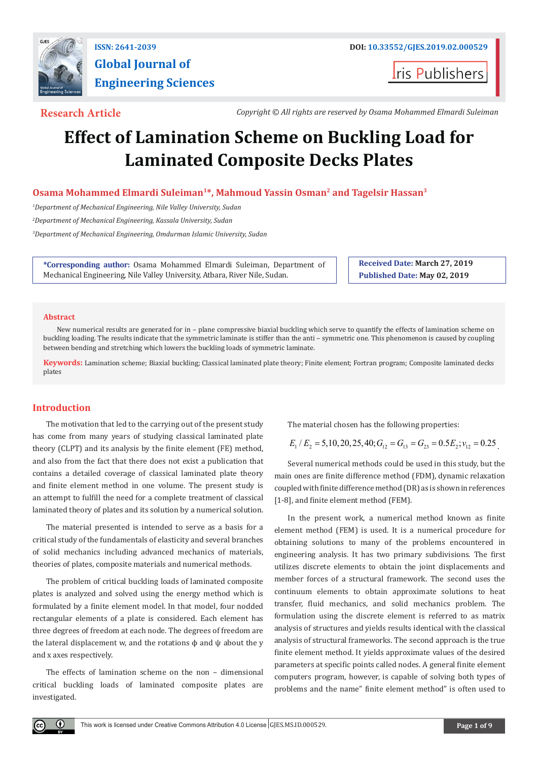

# **Global Journal of Engineering Sciences**

**I**ris Publishers

**Research Article** *Copyright © All rights are reserved by Osama Mohammed Elmardi Suleiman*

## **Effect of Lamination Scheme on Buckling Load for Laminated Composite Decks Plates**

**Osama Mohammed Elmardi Suleiman1\*, Mahmoud Yassin Osman2 and Tagelsir Hassan3**

*1 Department of Mechanical Engineering, Nile Valley University, Sudan*

*2 Department of Mechanical Engineering, Kassala University, Sudan*

*3 Department of Mechanical Engineering, Omdurman Islamic University, Sudan*

**\*Corresponding author:** Osama Mohammed Elmardi Suleiman, Department of Mechanical Engineering, Nile Valley University, Atbara, River Nile, Sudan.

**Received Date: March 27, 2019 Published Date: May 02, 2019**

#### **Abstract**

New numerical results are generated for in – plane compressive biaxial buckling which serve to quantify the effects of lamination scheme on buckling loading. The results indicate that the symmetric laminate is stiffer than the anti – symmetric one. This phenomenon is caused by coupling between bending and stretching which lowers the buckling loads of symmetric laminate.

**Keywords:** Lamination scheme; Biaxial buckling; Classical laminated plate theory; Finite element; Fortran program; Composite laminated decks plates

### **Introduction**

The motivation that led to the carrying out of the present study has come from many years of studying classical laminated plate theory (CLPT) and its analysis by the finite element (FE) method, and also from the fact that there does not exist a publication that contains a detailed coverage of classical laminated plate theory and finite element method in one volume. The present study is an attempt to fulfill the need for a complete treatment of classical laminated theory of plates and its solution by a numerical solution.

The material presented is intended to serve as a basis for a critical study of the fundamentals of elasticity and several branches of solid mechanics including advanced mechanics of materials, theories of plates, composite materials and numerical methods.

The problem of critical buckling loads of laminated composite plates is analyzed and solved using the energy method which is formulated by a finite element model. In that model, four nodded rectangular elements of a plate is considered. Each element has three degrees of freedom at each node. The degrees of freedom are the lateral displacement w, and the rotations  $\phi$  and  $\psi$  about the y and x axes respectively.

The effects of lamination scheme on the non – dimensional critical buckling loads of laminated composite plates are investigated.

The material chosen has the following properties:

$$
E_1/E_2 = 5,10,20,25,40; G_{12} = G_{13} = G_{23} = 0.5E_2; v_{12} = 0.25
$$

Several numerical methods could be used in this study, but the main ones are finite difference method (FDM), dynamic relaxation coupled with finite difference method (DR) as is shown in references [1-8], and finite element method (FEM).

In the present work, a numerical method known as finite element method (FEM) is used. It is a numerical procedure for obtaining solutions to many of the problems encountered in engineering analysis. It has two primary subdivisions. The first utilizes discrete elements to obtain the joint displacements and member forces of a structural framework. The second uses the continuum elements to obtain approximate solutions to heat transfer, fluid mechanics, and solid mechanics problem. The formulation using the discrete element is referred to as matrix analysis of structures and yields results identical with the classical analysis of structural frameworks. The second approach is the true finite element method. It yields approximate values of the desired parameters at specific points called nodes. A general finite element computers program, however, is capable of solving both types of problems and the name" finite element method" is often used to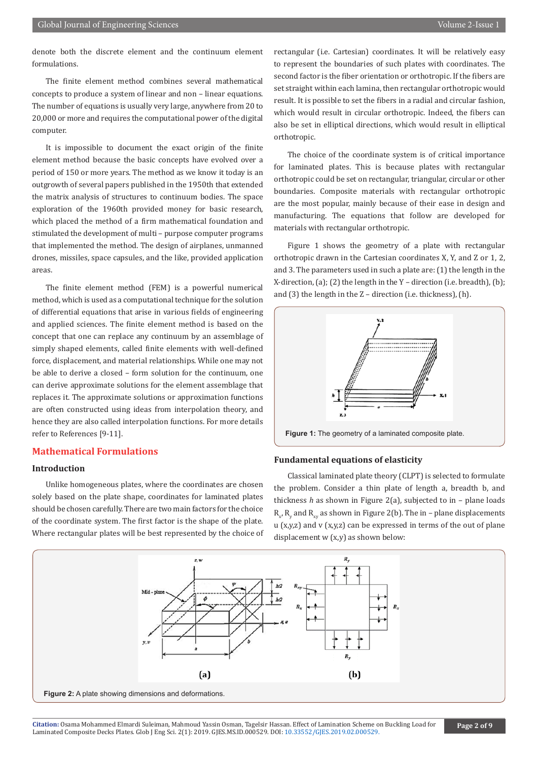denote both the discrete element and the continuum element formulations.

The finite element method combines several mathematical concepts to produce a system of linear and non – linear equations. The number of equations is usually very large, anywhere from 20 to 20,000 or more and requires the computational power of the digital computer.

It is impossible to document the exact origin of the finite element method because the basic concepts have evolved over a period of 150 or more years. The method as we know it today is an outgrowth of several papers published in the 1950th that extended the matrix analysis of structures to continuum bodies. The space exploration of the 1960th provided money for basic research, which placed the method of a firm mathematical foundation and stimulated the development of multi – purpose computer programs that implemented the method. The design of airplanes, unmanned drones, missiles, space capsules, and the like, provided application areas.

The finite element method (FEM) is a powerful numerical method, which is used as a computational technique for the solution of differential equations that arise in various fields of engineering and applied sciences. The finite element method is based on the concept that one can replace any continuum by an assemblage of simply shaped elements, called finite elements with well-defined force, displacement, and material relationships. While one may not be able to derive a closed – form solution for the continuum, one can derive approximate solutions for the element assemblage that replaces it. The approximate solutions or approximation functions are often constructed using ideas from interpolation theory, and hence they are also called interpolation functions. For more details refer to References [9-11].

#### **Mathematical Formulations**

#### **Introduction**

Unlike homogeneous plates, where the coordinates are chosen solely based on the plate shape, coordinates for laminated plates should be chosen carefully. There are two main factors for the choice of the coordinate system. The first factor is the shape of the plate. Where rectangular plates will be best represented by the choice of rectangular (i.e. Cartesian) coordinates. It will be relatively easy to represent the boundaries of such plates with coordinates. The second factor is the fiber orientation or orthotropic. If the fibers are set straight within each lamina, then rectangular orthotropic would result. It is possible to set the fibers in a radial and circular fashion, which would result in circular orthotropic. Indeed, the fibers can also be set in elliptical directions, which would result in elliptical orthotropic.

The choice of the coordinate system is of critical importance for laminated plates. This is because plates with rectangular orthotropic could be set on rectangular, triangular, circular or other boundaries. Composite materials with rectangular orthotropic are the most popular, mainly because of their ease in design and manufacturing. The equations that follow are developed for materials with rectangular orthotropic.

Figure 1 shows the geometry of a plate with rectangular orthotropic drawn in the Cartesian coordinates X, Y, and Z or 1, 2, and 3. The parameters used in such a plate are: (1) the length in the X-direction,  $(a)$ ;  $(2)$  the length in the Y – direction (i.e. breadth),  $(b)$ ; and (3) the length in the Z – direction (i.e. thickness), (h).



**Figure 1:** The geometry of a laminated composite plate.

#### **Fundamental equations of elasticity**

Classical laminated plate theory (CLPT) is selected to formulate the problem. Consider a thin plate of length a, breadth b, and thickness *h* as shown in Figure 2(a), subjected to in – plane loads  $R_{x}$ ,  $R_{y}$  and  $R_{xy}$  as shown in Figure 2(b). The in – plane displacements u (x,y,z) and v (x,y,z) can be expressed in terms of the out of plane displacement  $w(x,y)$  as shown below:



Citation: Osama Mohammed Elmardi Suleiman, Mahmoud Yassin Osman, Tagelsir Hass[an. Effect of Lamination Scheme o](http://dx.doi.org/10.33552/GJES.2019.02.000529)n Buckling Load for **Page 2 of 9** Page 2 of 9 Laminated Composite Decks Plates. Glob J Eng Sci. 2(1): 2019. GJE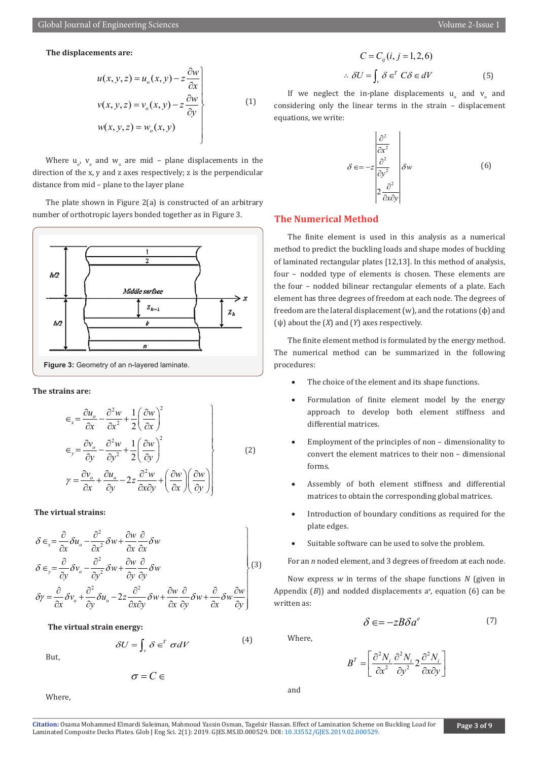#### **The displacements are:**

$$
u(x, y, z) = uo(x, y) - z \frac{\partial w}{\partial x}
$$
  

$$
v(x, y, z) = vo(x, y) - z \frac{\partial w}{\partial y}
$$
  

$$
w(x, y, z) = wo(x, y)
$$
 (1)

Where  $u_{o}$ ,  $v_{o}$  and  $w_{o}$  are mid – plane displacements in the direction of the x, y and z axes respectively; z is the perpendicular distance from mid – plane to the layer plane

The plate shown in Figure 2(a) is constructed of an arbitrary number of orthotropic layers bonded together as in Figure 3.



**The strains are:**

$$
\epsilon_{x} = \frac{\partial u_{o}}{\partial x} - \frac{\partial^{2} w}{\partial x^{2}} + \frac{1}{2} \left( \frac{\partial w}{\partial x} \right)^{2}
$$
\n
$$
\epsilon_{y} = \frac{\partial v_{o}}{\partial y} - \frac{\partial^{2} w}{\partial y^{2}} + \frac{1}{2} \left( \frac{\partial w}{\partial y} \right)^{2}
$$
\n
$$
\gamma = \frac{\partial v_{o}}{\partial x} + \frac{\partial u_{o}}{\partial y} - 2z \frac{\partial^{2} w}{\partial x \partial y} + \left( \frac{\partial w}{\partial x} \right) \left( \frac{\partial w}{\partial y} \right)
$$
\n(2)

**The virtual strains:**

$$
\delta \epsilon_{x} = \frac{\partial}{\partial x} \delta u_{o} - \frac{\partial^{2}}{\partial x^{2}} \delta w + \frac{\partial w}{\partial x} \frac{\partial}{\partial x} \delta w
$$
\n
$$
\delta \epsilon_{y} = \frac{\partial}{\partial y} \delta v_{o} - \frac{\partial^{2}}{\partial y^{2}} \delta w + \frac{\partial w}{\partial y} \frac{\partial}{\partial y} \delta w
$$
\n
$$
\delta \gamma = \frac{\partial}{\partial x} \delta v_{o} + \frac{\partial^{2}}{\partial y} \delta u_{o} - 2z \frac{\partial^{2}}{\partial x \partial y} \delta w + \frac{\partial w}{\partial x} \frac{\partial}{\partial y} \delta w + \frac{\partial}{\partial x} \delta w \frac{\partial w}{\partial y} \Bigg\}
$$
\n(3)

#### **The virtual strain energy:**

$$
\delta U = \int_{V} \delta \in^{T} \sigma dV \tag{4}
$$

But,

$$
\sigma=C\in
$$

Where,

$$
C = C_{ij}(i, j = 1, 2, 6)
$$
  

$$
\therefore \delta U = \int_{v} \delta \in^{T} C \delta \in dV
$$
 (5)

If we neglect the in-plane displacements  $u_0$  and  $v_0$  and considering only the linear terms in the strain – displacement equations, we write:

$$
\delta \in = -z \frac{\begin{vmatrix} \frac{\partial^2}{\partial x^2} \\ \frac{\partial^2}{\partial y^2} \end{vmatrix}}{2 \frac{\partial^2}{\partial x \partial y}} \delta w
$$
 (6)

#### **The Numerical Method**

The finite element is used in this analysis as a numerical method to predict the buckling loads and shape modes of buckling of laminated rectangular plates [12,13]. In this method of analysis, four – nodded type of elements is chosen. These elements are the four – nodded bilinear rectangular elements of a plate. Each element has three degrees of freedom at each node. The degrees of freedom are the lateral displacement  $(w)$ , and the rotations  $(\phi)$  and (ψ) about the (*X*) and (*Y*) axes respectively.

The finite element method is formulated by the energy method. The numerical method can be summarized in the following procedures:

- The choice of the element and its shape functions.
- Formulation of finite element model by the energy approach to develop both element stiffness and differential matrices.
- Employment of the principles of non dimensionality to convert the element matrices to their non – dimensional forms.
- Assembly of both element stiffness and differential matrices to obtain the corresponding global matrices.
- Introduction of boundary conditions as required for the plate edges.
- Suitable software can be used to solve the problem.

For an *n* noded element, and 3 degrees of freedom at each node.

Now express *w* in terms of the shape functions *N* (given in Appendix  $(B)$ ) and nodded displacements  $a<sup>e</sup>$ , equation  $(6)$  can be written as:

$$
\delta \in = -zB\delta a^e \tag{7}
$$

Where,

$$
B^T = \left[ \frac{\partial^2 N_i}{\partial x^2} \frac{\partial^2 N_i}{\partial y^2} 2 \frac{\partial^2 N_i}{\partial x \partial y} \right]
$$

and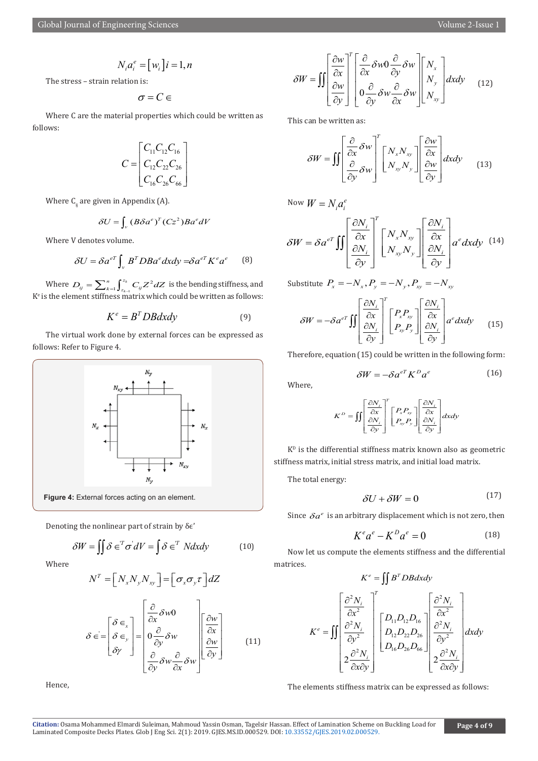$$
N_i a_i^e = [w_i] i = 1, n
$$

The stress – strain relation is:

$$
\sigma=C\in
$$

Where C are the material properties which could be written as follows:

$$
C = \begin{bmatrix} C_{11}C_{12}C_{16} \\ C_{12}C_{22}C_{26} \\ C_{16}C_{26}C_{66} \end{bmatrix}
$$

Where  $C_{ij}$  are given in Appendix (A).

$$
\delta U = \int_{v} \left( B \delta a^{e} \right)^{T} \left( C z^{2} \right) B a^{e} dV
$$

Where V denotes volume.

$$
\delta U = \delta a^{eT} \int_{\nu} B^T D B a^e dx dy = \delta a^{eT} K^e a^e \qquad (8)
$$

Where  $D_{ij} = \sum_{k=1}^{n} \int_{z_{k-1}}^{z_k} C_{ij} Z^2$ *k*  $D_{ij} = \sum_{k=1}^{n} \int_{z_{k-1}}^{z_k} C_{ij} Z^2 dZ$  is the bending stiffness, and  $K<sup>e</sup>$  is the element stiffness matrix which could be written as follows:

$$
K^e = B^T D B dxdy \tag{9}
$$

The virtual work done by external forces can be expressed as follows: Refer to Figure 4.



Denoting the nonlinear part of strain by δϵ'

$$
\delta W = \iint \delta \in {}^{T} \sigma dV = \int \delta \in {}^{T} N dx dy
$$
 (10)

Where

$$
N^T = \left[ N_x N_y N_{xy} \right] = \left[ \sigma_x \sigma_y \tau \right] dZ
$$

$$
\delta \in = \begin{bmatrix} \delta \in \\ \delta \in \\ \delta \gamma \end{bmatrix} = \begin{bmatrix} \frac{\partial}{\partial x} \delta w0 \\ 0 \frac{\partial}{\partial y} \delta w \\ \frac{\partial}{\partial y} \delta w \frac{\partial}{\partial x} \delta w \end{bmatrix} \begin{bmatrix} \frac{\partial w}{\partial x} \\ \frac{\partial w}{\partial y} \end{bmatrix}
$$
(11)

Hence,

$$
\delta W = \iint \left[ \frac{\frac{\partial w}{\partial x}}{\frac{\partial w}{\partial y}} \right]^T \left[ \frac{\frac{\partial}{\partial x}}{\frac{\partial x}{\partial y}} \delta w \frac{\partial}{\partial y} \delta w \right] \left[ \begin{array}{c} N_x \\ N_y \\ N_y \end{array} \right] dxdy \qquad (12)
$$

This can be written as:

$$
\delta W = \iint \left[ \frac{\partial}{\partial x} \delta w \right]^T \left[ N_x N_{xy} \right] \left[ \frac{\partial w}{\partial x} \right] dxdy \qquad (13)
$$

Now  $W = N_i a_i^e$ 

$$
\delta W = \delta a^{eT} \iint \left[ \frac{\frac{\partial N_i}{\partial x}}{\frac{\partial N_i}{\partial y}} \right]^T \left[ \frac{N_x N_{xy}}{N_{xy} N_y} \right] \left[ \frac{\frac{\partial N_i}{\partial x}}{\frac{\partial N_i}{\partial y}} \right] a^e dx dy \tag{14}
$$

Substitute  $P_x = -N_x, P_y = -N_y, P_{xy} = -N_{xy}$ 

$$
\delta W = -\delta a^{eT} \iint \left[ \frac{\frac{\partial N_i}{\partial x}}{\frac{\partial N_i}{\partial y}} \right]^T \left[ \begin{array}{c} P_x P_{xy} \\ P_{xy} P_y \end{array} \right] \left[ \frac{\frac{\partial N_i}{\partial x}}{\frac{\partial N_i}{\partial y}} \right] a^e dx dy \tag{15}
$$

Therefore, equation (15) could be written in the following form:

$$
\delta W = -\delta a^{eT} K^D a^e \tag{16}
$$

Where,

$$
K^{D} = \iiint \left[ \frac{\partial N_{i}}{\partial x} \right]^{T} \left[ P_{x} P_{xy} \right] \left[ \frac{\partial N_{i}}{\partial x} \right] dx dy
$$

$$
E^{D} = \iiint \left[ \frac{\partial N_{i}}{\partial y} \right] dx dy
$$

 $K<sup>D</sup>$  is the differential stiffness matrix known also as geometric stiffness matrix, initial stress matrix, and initial load matrix.

The total energy:

$$
\delta U + \delta W = 0 \tag{17}
$$

Since  $\delta a^e$  is an arbitrary displacement which is not zero, then

$$
K^e a^e - K^D a^e = 0 \tag{18}
$$

Now let us compute the elements stiffness and the differential matrices.

$$
K^{e} = \iint B^{T}DBdxdy
$$

$$
K^{e} = \iint \frac{\partial^{2} N_{i}}{\partial x^{2}} \begin{bmatrix} \frac{\partial^{2} N_{i}}{\partial x^{2}} \\ \frac{\partial^{2} N_{i}}{\partial y^{2}} \\ 2\frac{\partial^{2} N_{i}}{\partial x \partial y} \end{bmatrix} \begin{bmatrix} D_{11}D_{12}D_{16} \\ D_{12}D_{22}D_{26} \\ D_{16}D_{26}D_{66} \end{bmatrix} \begin{bmatrix} \frac{\partial^{2} N_{i}}{\partial x^{2}} \\ \frac{\partial^{2} N_{i}}{\partial x^{2}} \\ 2\frac{\partial^{2} N_{i}}{\partial x \partial y} \end{bmatrix} dxdy
$$

The elements stiffness matrix can be expressed as follows: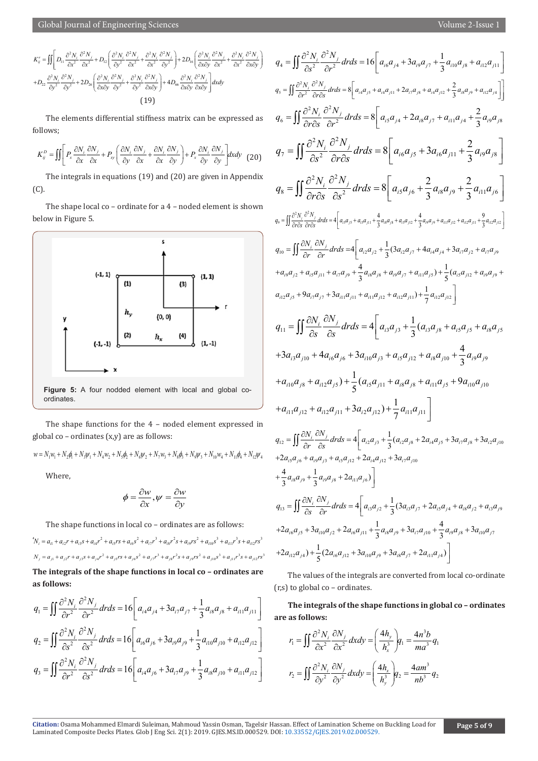Global Journal of Engineering Sciences Volume 2-Issue 1

$$
K_{ij}^e = \iint \left[ D_{11} \frac{\partial^2 N_i}{\partial x^2} \frac{\partial^2 N_j}{\partial x^2} + D_{12} \left( \frac{\partial^2 N_i}{\partial y^2} \frac{\partial^2 N_j}{\partial x^2} + \frac{\partial^2 N_i}{\partial x^2} \frac{\partial^2 N_j}{\partial y^2} \right) + 2D_{16} \left( \frac{\partial^2 N_i}{\partial x \partial y} \frac{\partial^2 N_j}{\partial x^2} + \frac{\partial^2 N_i}{\partial x^2} \frac{\partial^2 N_j}{\partial x \partial y} \right) \right]
$$

$$
+ D_{22} \frac{\partial^2 N_i}{\partial y^2} \frac{\partial^2 N_j}{\partial y^2} + 2D_{26} \left( \frac{\partial^2 N_i}{\partial x \partial y} \frac{\partial^2 N_j}{\partial y^2} + \frac{\partial^2 N_i}{\partial y^2} \frac{\partial^2 N_j}{\partial x \partial y} \right) + 4D_{66} \frac{\partial^2 N_i}{\partial x \partial y} \frac{\partial^2 N_j}{\partial x \partial y} \right] dx dy
$$

$$
(19)
$$

The elements differential stiffness matrix can be expressed as follows;

$$
K_{ij}^{D} = \iint \left[ P_x \frac{\partial N_i}{\partial x} \frac{\partial N_j}{\partial x} + P_{xy} \left( \frac{\partial N_i}{\partial y} \frac{\partial N_j}{\partial x} + \frac{\partial N_i}{\partial x} \frac{\partial N_j}{\partial y} \right) + P_x \frac{\partial N_i}{\partial y} \frac{\partial N_j}{\partial y} \right] dxdy \tag{20}
$$

The integrals in equations (19) and (20) are given in Appendix (C).

The shape local co – ordinate for a 4 – noded element is shown below in Figure 5.



**Figure 5:** A four nodded element with local and global coordinates.

The shape functions for the 4 – noded element expressed in global co – ordinates (x,y) are as follows:

 $w = N_1 w_1 + N_2 \phi_1 + N_3 w_1 + N_4 w_2 + N_5 \phi_2 + N_6 w_3 + N_7 w_4 + N_8 \phi_3 + N_9 w_4 + N_{10} w_4 + N_{11} \phi_4 + N_{12} w_4$ 

Where,

$$
\phi = \frac{\partial w}{\partial x}, \psi = \frac{\partial w}{\partial y}
$$

The shape functions in local co – ordinates are as follows:

 $N_i = a_{i1} + a_{i2}r + a_{i3}s + a_{i4}r^2 + a_{i5}rs + a_{i6}s^2 + a_{i7}r^3 + a_{i8}r^2s + a_{i9}rs^2 + a_{i10}s^3 + a_{i11}r^3s + a_{i2}rs^3$  $N_j = a_{j1} + a_{j2}r + a_{j3}s + a_{j4}r^2 + a_{j5}rs + a_{j6}s^2 + a_{j7}r^3 + a_{j8}r^2s + a_{j9}rs^2 + a_{j10}s^3 + a_{j11}r^3s + a_{j12}rs^3$ **The integrals of the shape functions in local co – ordinates are as follows:**

$$
q_{1} = \iint \frac{\partial^{2} N_{i}}{\partial r^{2}} \frac{\partial^{2} N_{j}}{\partial r^{2}} dr ds = 16 \left[ a_{i4} a_{j4} + 3 a_{i7} a_{j7} + \frac{1}{3} a_{i8} a_{j8} + a_{i11} a_{j11} \right]
$$
  
\n
$$
q_{2} = \iint \frac{\partial^{2} N_{i}}{\partial s^{2}} \frac{\partial^{2} N_{j}}{\partial s^{2}} dr ds = 16 \left[ a_{i6} a_{j6} + 3 a_{i9} a_{j9} + \frac{1}{3} a_{i10} a_{j10} + a_{i12} a_{j12} \right]
$$
  
\n
$$
q_{3} = \iint \frac{\partial^{2} N_{i}}{\partial r^{2}} \frac{\partial^{2} N_{j}}{\partial s^{2}} dr ds = 16 \left[ a_{i4} a_{j6} + 3 a_{i7} a_{j9} + \frac{1}{3} a_{i8} a_{j10} + a_{i11} a_{j12} \right]
$$

$$
q_{4} = \iint \frac{\partial^{2} N_{i}}{\partial s^{2}} \frac{\partial^{2} N_{j}}{\partial r^{2}} dr ds = 16 \left[ a_{i6} a_{j4} + 3 a_{j9} a_{j7} + \frac{1}{3} a_{i10} a_{j8} + a_{i12} a_{j11} \right]
$$
  
\n
$$
q_{5} = \iint \frac{\partial^{2} N_{i}}{\partial r^{2}} \frac{\partial^{2} N_{j}}{\partial r \partial s} dr ds = 8 \left[ a_{i4} a_{j5} + a_{i4} a_{j11} + 2 a_{i7} a_{j8} + a_{i4} a_{j12} + \frac{2}{3} a_{i8} a_{j9} + a_{i12} a_{j4} \right]
$$
  
\n
$$
q_{6} = \iint \frac{\partial^{2} N_{i}}{\partial r \partial s} \frac{\partial^{2} N_{j}}{\partial r^{2}} dr ds = 8 \left[ a_{i5} a_{j4} + 2 a_{i8} a_{j7} + a_{i11} a_{j4} + \frac{2}{3} a_{i9} a_{j8} \right]
$$
  
\n
$$
q_{7} = \iint \frac{\partial^{2} N_{i}}{\partial s^{2}} \frac{\partial^{2} N_{j}}{\partial r \partial s} dr ds = 8 \left[ a_{i5} a_{j6} + \frac{2}{3} a_{i6} a_{j11} + \frac{2}{3} a_{i9} a_{j8} \right]
$$
  
\n
$$
q_{8} = \iint \frac{\partial^{2} N_{i}}{\partial r \partial s} \frac{\partial^{2} N_{j}}{\partial s^{2}} dr ds = 8 \left[ a_{i5} a_{j6} + \frac{2}{3} a_{i8} a_{j9} + \frac{2}{3} a_{i11} a_{j6} \right]
$$
  
\n
$$
q_{9} = \iint \frac{\partial^{2} N_{i}}{\partial r \partial s} \frac{\partial^{2} N_{j}}{\partial s^{2}} dr ds = 4 \left[ a_{i5} a_{j6} + \frac{2}{3} a_{i8} a_{j9} + a_{i1} a_{j12} + a_{i2} a_{j11} + \frac{9}{3} a_{i3} a_{j1} \right]
$$
  
\n
$$
q_{10} = \iint \frac{\partial N_{i}}{\partial r
$$

The values of the integrals are converted from local co-ordinate (r,s) to global co – ordinates.

**The integrals of the shape functions in global co – ordinates are as follows:**

$$
r_1 = \iint \frac{\partial^2 N_i}{\partial x^2} \frac{\partial N_j}{\partial x^2} dx dy = \left(\frac{4h_y}{h_x^3}\right) q_1 = \frac{4n^3b}{ma^3} q_1
$$

$$
r_2 = \iint \frac{\partial^2 N_i}{\partial y^2} \frac{\partial N_j}{\partial y^2} dx dy = \left(\frac{4h_x}{h_y^3}\right) q_2 = \frac{4am^3}{nb^3} q_2
$$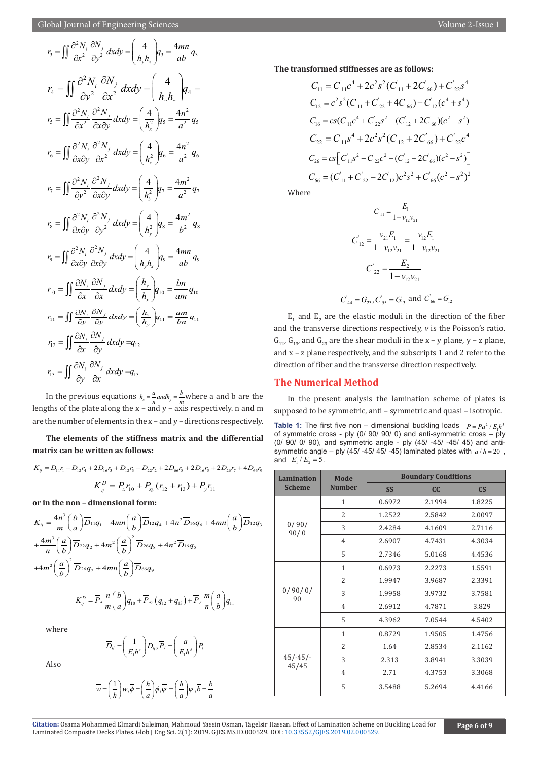$$
r_{3} = \iint \frac{\partial^{2} N_{i}}{\partial x^{2}} \frac{\partial N_{j}}{\partial y^{2}} dx dy = \left(\frac{4}{h_{y}h_{x}}\right) q_{3} = \frac{4mn}{ab} q_{3}
$$
\n
$$
r_{4} = \iint \frac{\partial^{2} N_{i}}{\partial v^{2}} \frac{\partial N_{j}}{\partial x^{2}} dx dy = \left(\frac{4}{h_{y}h_{y}}\right) q_{4} =
$$
\n
$$
r_{5} = \iint \frac{\partial^{2} N_{i}}{\partial x^{2}} \frac{\partial^{2} N_{j}}{\partial x \partial y} dx dy = \left(\frac{4}{h_{x}^{2}}\right) q_{5} = \frac{4n^{2}}{a^{2}} q_{5}
$$
\n
$$
r_{6} = \iint \frac{\partial^{2} N_{i}}{\partial x \partial y} \frac{\partial^{2} N_{j}}{\partial x^{2}} dx dy = \left(\frac{4}{h_{x}^{2}}\right) q_{6} = \frac{4n^{2}}{a^{2}} q_{6}
$$
\n
$$
r_{7} = \iint \frac{\partial^{2} N_{i}}{\partial y^{2}} \frac{\partial^{2} N_{j}}{\partial x \partial y} dx dy = \left(\frac{4}{h_{y}^{2}}\right) q_{7} = \frac{4m^{2}}{a^{2}} q_{7}
$$
\n
$$
r_{8} = \iint \frac{\partial^{2} N_{i}}{\partial x \partial y} \frac{\partial^{2} N_{j}}{\partial y^{2}} dx dy = \left(\frac{4}{h_{y}^{2}}\right) q_{8} = \frac{4m^{2}}{b^{2}} q_{8}
$$
\n
$$
r_{9} = \iint \frac{\partial^{2} N_{i}}{\partial x \partial y} \frac{\partial^{2} N_{j}}{\partial x \partial y} dx dy = \left(\frac{4}{h_{y}h_{x}}\right) q_{9} = \frac{4mn}{ab} q_{9}
$$
\n
$$
r_{10} = \iint \frac{\partial N_{i}}{\partial x} \frac{\partial N_{j}}{\partial x} dx dy = \left(\frac{h_{y}}{h_{x}}\right) q_{10} = \frac{bn}{am} q_{10}
$$
\n
$$
r_{11} = \iint \frac{\partial N_{i}}{\partial y} \frac{\partial N_{j}}{\partial y} dx dy = q_{12}
$$
\n
$$
r
$$

In the previous equations  $h_x = \frac{a}{n}$  *andh<sub>y</sub>* =  $\frac{b}{m}$  where a and b are the lengths of the plate along the  $x - \overrightarrow{and} y - \overrightarrow{axis}$  respectively. n and m are the number of elements in the x – and y – directions respectively.

**The elements of the stiffness matrix and the differential matrix can be written as follows:**

$$
K_{ij} = D_{11}r_1 + D_{12}r_4 + 2D_{16}r_3 + D_{12}r_3 + D_{22}r_2 + 2D_{66}r_8 + 2D_{16}r_5 + 2D_{26}r_7 + 4D_{66}r_9
$$

$$
K_{ij}^D = P_xr_{10} + P_{xy}(r_{12} + r_{13}) + P_yr_{11}
$$

**or in the non – dimensional form:**

$$
K_{ij} = \frac{4n^3}{m} \left(\frac{b}{a}\right) \overline{D}_{11}q_1 + 4mn \left(\frac{a}{b}\right) \overline{D}_{12}q_4 + 4n^2 \overline{D}_{16}q_6 + 4mn \left(\frac{a}{b}\right) \overline{D}_{12}q_3
$$
  
+ 
$$
\frac{4m^3}{n} \left(\frac{a}{b}\right) \overline{D}_{22}q_2 + 4m^2 \left(\frac{a}{b}\right)^2 \overline{D}_{26}q_8 + 4n^2 \overline{D}_{16}q_5
$$
  
+ 
$$
4m^2 \left(\frac{a}{b}\right)^2 \overline{D}_{26}q_7 + 4mn \left(\frac{a}{b}\right) \overline{D}_{66}q_9
$$
  

$$
K_{ij}^D = \overline{P}_x \frac{n}{m} \left(\frac{b}{a}\right) q_{10} + \overline{P}_{xy} \left(q_{12} + q_{13}\right) + \overline{P}_y \frac{m}{n} \left(\frac{a}{b}\right) q_{11}
$$

where

$$
\overline{D}_{ij} = \left(\frac{1}{E_1 h^3}\right) D_{ij}, \overline{P}_i = \left(\frac{a}{E_1 h^3}\right) P_i
$$

Also

$$
\overline{w} = \left(\frac{1}{h}\right)w, \overline{\phi} = \left(\frac{h}{a}\right)\phi, \overline{\psi} = \left(\frac{h}{a}\right)\psi, \overline{b} = \frac{b}{a}
$$

**The transformed stiffnesses are as follows:**

$$
C_{11} = C_{11}c^{4} + 2c^{2}s^{2}(C_{11} + 2C_{66}) + C_{22}s^{4}
$$
  
\n
$$
C_{12} = c^{2}s^{2}(C_{11} + C_{22} + 4C_{66}) + C_{12}(c^{4} + s^{4})
$$
  
\n
$$
C_{16} = cs(C_{11}c^{4} + C_{22}s^{2} - (C_{12} + 2C_{66})(c^{2} - s^{2})
$$
  
\n
$$
C_{22} = C_{11}s^{4} + 2c^{2}s^{2}(C_{12} + 2C_{66}) + C_{22}c^{4}
$$
  
\n
$$
C_{26} = cs[C_{11}s^{2} - C_{22}c^{2} - (C_{12} + 2C_{66})(c^{2} - s^{2})]
$$
  
\n
$$
C_{66} = (C_{11} + C_{22} - 2C_{12})c^{2}s^{2} + C_{66}(c^{2} - s^{2})^{2}
$$

Where

$$
C'_{11} = \frac{E_1}{1 - v_{12}v_{21}}
$$

$$
C'_{12} = \frac{v_{21}E_1}{1 - v_{12}v_{21}} = \frac{v_{12}E_1}{1 - v_{12}v_{21}}
$$

$$
C'_{22} = \frac{E_2}{1 - v_{12}v_{21}}
$$

$$
C'_{44} = G_{23}, C'_{55} = G_{13} \text{ and } C'_{66} = G_{12}
$$

 $E_1$  and  $E_2$  are the elastic moduli in the direction of the fiber and the transverse directions respectively, *v* is the Poisson's ratio.  $G_{12}$ ,  $G_{13}$ , and  $G_{23}$  are the shear moduli in the x – y plane, y – z plane, and x – z plane respectively, and the subscripts 1 and 2 refer to the direction of fiber and the transverse direction respectively.

#### **The Numerical Method**

In the present analysis the lamination scheme of plates is supposed to be symmetric, anti – symmetric and quasi – isotropic. **Table 1:** The first five non – dimensional buckling loads  $\overline{P} = Pa^2 / E_1 h^2$ of symmetric cross - ply (0/ 90/ 90/ 0) and anti-symmetric cross – ply (0/ 90/ 0/ 90), and symmetric angle - ply (45/ -45/ -45/ 45) and antisymmetric angle – ply (45/ -45/ 45/ -45) laminated plates with  $a/h = 20$ , and  $E_1 / E_2 = 5$ .

| <b>Lamination</b>   | Mode<br><b>Number</b> | <b>Boundary Conditions</b> |        |                        |
|---------------------|-----------------------|----------------------------|--------|------------------------|
| <b>Scheme</b>       |                       | <b>SS</b>                  | cc     | $\mathbf{C}\mathbf{S}$ |
|                     | 1                     | 0.6972                     | 2.1994 | 1.8225                 |
|                     | 2                     | 1.2522                     | 2.5842 | 2.0097                 |
| 0/90/<br>90/0       | 3                     | 2.4284                     | 4.1609 | 2.7116                 |
|                     | $\overline{4}$        | 2.6907                     | 4.7431 | 4.3034                 |
|                     | 5                     | 2.7346                     | 5.0168 | 4.4536                 |
| 0/90/0/<br>90       | $\mathbf{1}$          | 0.6973                     | 2.2273 | 1.5591                 |
|                     | $\overline{2}$        | 1.9947                     | 3.9687 | 2.3391                 |
|                     | 3                     | 1.9958                     | 3.9732 | 3.7581                 |
|                     | $\overline{4}$        | 2.6912                     | 4.7871 | 3.829                  |
|                     | 5                     | 4.3962                     | 7.0544 | 4.5402                 |
| $45/-45/-$<br>45/45 | $\mathbf{1}$          | 0.8729                     | 1.9505 | 1.4756                 |
|                     | $\overline{2}$        | 1.64                       | 2.8534 | 2.1162                 |
|                     | 3                     | 2.313                      | 3.8941 | 3.3039                 |
|                     | $\overline{4}$        | 2.71                       | 4.3753 | 3.3068                 |
|                     | 5                     | 3.5488                     | 5.2694 | 4.4166                 |

Citation: Osama Mohammed Elmardi Suleiman, Mahmoud Yassin Osman, Tagelsir Hass[an. Effect of Lamination Scheme o](http://dx.doi.org/10.33552/GJES.2019.02.000529)n Buckling Load for **Page 6 of 9** Page 6 of 9 Page 6 of 9 Page 6 of 9 Daminated Composite Decks Plates. Glob J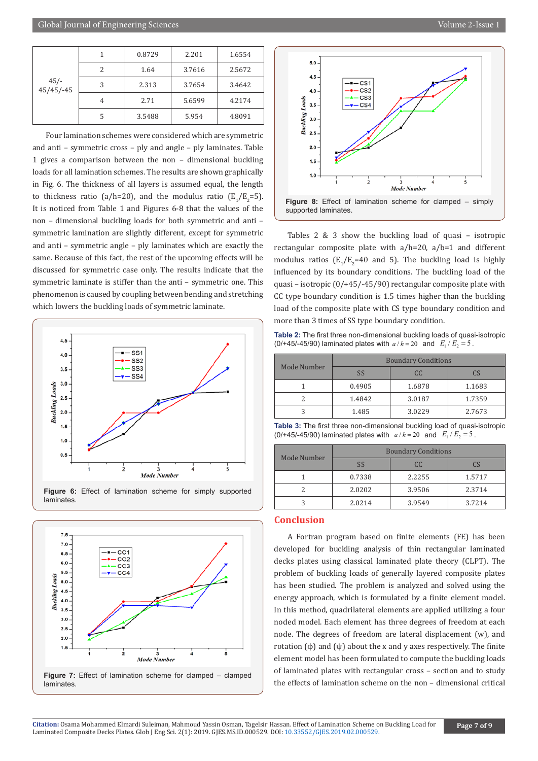| $45/-$<br>$45/45/-45$ |   | 0.8729 | 2.201  | 1.6554 |
|-----------------------|---|--------|--------|--------|
|                       | 2 | 1.64   | 3.7616 | 2.5672 |
|                       | 3 | 2.313  | 3.7654 | 3.4642 |
|                       | 4 | 2.71   | 5.6599 | 4.2174 |
|                       | 5 | 3.5488 | 5.954  | 4.8091 |

Four lamination schemes were considered which are symmetric and anti – symmetric cross – ply and angle – ply laminates. Table 1 gives a comparison between the non – dimensional buckling loads for all lamination schemes. The results are shown graphically in Fig. 6. The thickness of all layers is assumed equal, the length to thickness ratio (a/h=20), and the modulus ratio  $(E_1/E_2=5)$ . It is noticed from Table 1 and Figures 6-8 that the values of the non – dimensional buckling loads for both symmetric and anti – symmetric lamination are slightly different, except for symmetric and anti – symmetric angle – ply laminates which are exactly the same. Because of this fact, the rest of the upcoming effects will be discussed for symmetric case only. The results indicate that the symmetric laminate is stiffer than the anti – symmetric one. This phenomenon is caused by coupling between bending and stretching which lowers the buckling loads of symmetric laminate.



**Figure 6:** Effect of lamination scheme for simply supported laminates.





Tables 2 & 3 show the buckling load of quasi – isotropic rectangular composite plate with a/h=20, a/b=1 and different modulus ratios  $(E_1/E_2=40$  and 5). The buckling load is highly influenced by its boundary conditions. The buckling load of the quasi – isotropic (0/+45/-45/90) rectangular composite plate with CC type boundary condition is 1.5 times higher than the buckling load of the composite plate with CS type boundary condition and more than 3 times of SS type boundary condition.

**Table 2:** The first three non-dimensional buckling loads of quasi-isotropic (0/+45/-45/90) laminated plates with  $a/h = 20$  and  $E_1/E_2 = 5$ .

| Mode Number | <b>Boundary Conditions</b> |        |        |  |
|-------------|----------------------------|--------|--------|--|
|             | SS                         | CC.    | ΓS     |  |
|             | 0.4905                     | 1.6878 | 1.1683 |  |
|             | 1.4842                     | 3.0187 | 1.7359 |  |
|             | 1.485                      | 3.0229 | 2.7673 |  |

**Table 3:** The first three non-dimensional buckling load of quasi-isotropic (0/+45/-45/90) laminated plates with  $a/h = 20$  and  $E_1/E_2 = 5$ .

| Mode Number | <b>Boundary Conditions</b> |        |        |  |
|-------------|----------------------------|--------|--------|--|
|             | <b>SS</b>                  | CC.    | CS     |  |
|             | 0.7338                     | 2.2255 | 1.5717 |  |
|             | 2.0202                     | 3.9506 | 2.3714 |  |
|             | 2.0214                     | 3.9549 | 3.7214 |  |

#### **Conclusion**

A Fortran program based on finite elements (FE) has been developed for buckling analysis of thin rectangular laminated decks plates using classical laminated plate theory (CLPT). The problem of buckling loads of generally layered composite plates has been studied. The problem is analyzed and solved using the energy approach, which is formulated by a finite element model. In this method, quadrilateral elements are applied utilizing a four noded model. Each element has three degrees of freedom at each node. The degrees of freedom are lateral displacement (w), and rotation (φ) and (ψ) about the x and y axes respectively. The finite element model has been formulated to compute the buckling loads of laminated plates with rectangular cross – section and to study the effects of lamination scheme on the non – dimensional critical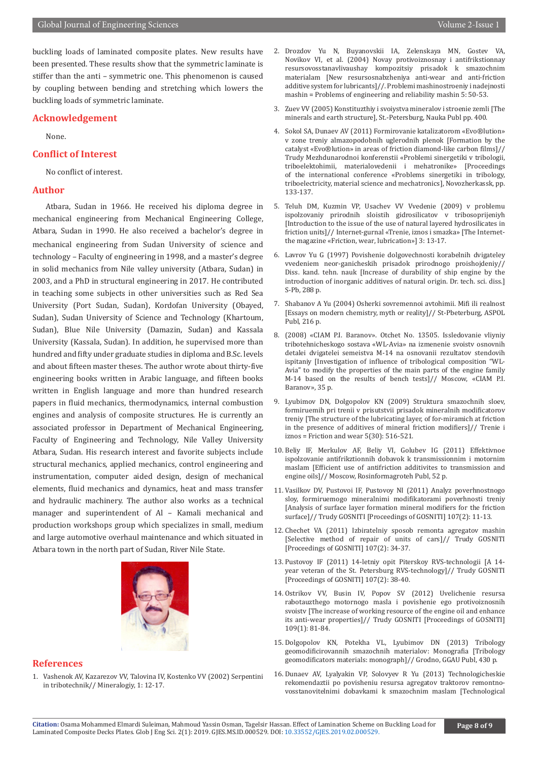buckling loads of laminated composite plates. New results have been presented. These results show that the symmetric laminate is stiffer than the anti – symmetric one. This phenomenon is caused by coupling between bending and stretching which lowers the buckling loads of symmetric laminate.

#### **Acknowledgement**

None.

#### **Conflict of Interest**

No conflict of interest.

#### **Author**

Atbara, Sudan in 1966. He received his diploma degree in mechanical engineering from Mechanical Engineering College, Atbara, Sudan in 1990. He also received a bachelor's degree in mechanical engineering from Sudan University of science and technology – Faculty of engineering in 1998, and a master's degree in solid mechanics from Nile valley university (Atbara, Sudan) in 2003, and a PhD in structural engineering in 2017. He contributed in teaching some subjects in other universities such as Red Sea University (Port Sudan, Sudan), Kordofan University (Obayed, Sudan), Sudan University of Science and Technology (Khartoum, Sudan), Blue Nile University (Damazin, Sudan) and Kassala University (Kassala, Sudan). In addition, he supervised more than hundred and fifty under graduate studies in diploma and B.Sc. levels and about fifteen master theses. The author wrote about thirty-five engineering books written in Arabic language, and fifteen books written in English language and more than hundred research papers in fluid mechanics, thermodynamics, internal combustion engines and analysis of composite structures. He is currently an associated professor in Department of Mechanical Engineering, Faculty of Engineering and Technology, Nile Valley University Atbara, Sudan. His research interest and favorite subjects include structural mechanics, applied mechanics, control engineering and instrumentation, computer aided design, design of mechanical elements, fluid mechanics and dynamics, heat and mass transfer and hydraulic machinery. The author also works as a technical manager and superintendent of Al – Kamali mechanical and production workshops group which specializes in small, medium and large automotive overhaul maintenance and which situated in Atbara town in the north part of Sudan, River Nile State.



#### **References**

1. Vashenok AV, Kazarezov VV, Talovina IV, Kostenko VV (2002) Serpentini in tribotechnik// Mineralogiy, 1: 12-17.

- 2. Drozdov Yu N, Buyanovskii IA, Zelenskaya MN, Gostev VA, Novikov VI, et al. (2004) Novay protivoiznosnay i antifrikstionnay resursovosstanavlivaushay kompozitsiy prisadok k smazochnim materialam [New resursosnabzheniya anti-wear and anti-friction additive system for lubricants]//. Problemi mashinostroeniy i nadejnosti mashin = Problems of engineering and reliability mashin 5: 50-53.
- 3. Zuev VV (2005) Konstituzthiy i svoiystva mineralov i stroenie zemli [The minerals and earth structure], St.-Petersburg, Nauka Publ pp. 400.
- 4. Sokol SA, Dunaev AV (2011) Formirovanie katalizatorom «Evo®lution» v zone treniy almazopodobnih uglerodnih plenok [Formation by the catalyst «Evo®lution» in areas of friction diamond-like carbon films]// Trudy Mezhdunarodnoi konferenstii «Problemi sinergetiki v tribologii, triboelektohimii, materialovedenii i mehatronike» [Proceedings of the international conference «Problems sinergetiki in tribology, triboelectricity, material science and mechatronics], Novozherkassk, pp. 133-137.
- 5. Teluh DM, Kuzmin VP, Usachev VV Vvedenie (2009) v problemu ispolzovaniy prirodnih sloistih gidrosilicatov v tribosoprijeniyh [Introduction to the issue of the use of natural layered hydrosilicates in friction units]// Internet-gurnal «Trenie, iznos i smazka» [The Internetthe magazine «Friction, wear, lubrication»] 3: 13-17.
- 6. Lavrov Yu G (1997) Povishenie dolgovechnosti korabelnih dvigateley vvedeniem neor-ganicheskih prisadok prirodnogo proishojdeniy// Diss. kand. tehn. nauk [Increase of durability of ship engine by the introduction of inorganic additives of natural origin. Dr. tech. sci. diss.] S-Pb, 288 p.
- 7. Shabanov A Yu (2004) Osherki sovremennoi avtohimii. Mifi ili realnost [Essays on modern chemistry, myth or reality]// St-Pbeterburg, ASPOL Publ, 216 p.
- 8. (2008) «CIAM P.I. Baranov». Otchet No. 13505. Issledovanie vliyniy tribotehnicheskogo sostava «WL-Avia» na izmenenie svoistv osnovnih detalei dvigatelei semeistva M-14 na osnovanii rezultatov stendovih ispitaniy [Investigation of influence of tribological composition "WL-Avia" to modify the properties of the main parts of the engine family M-14 based on the results of bench tests]// Moscow, «CIAM P.I. Baranov», 35 p.
- 9. Lyubimov DN, Dolgopolov KN (2009) Struktura smazochnih sloev, formiruemih pri trenii v prisutstvii prisadok mineralnih modificatorov treniy [The structure of the lubricating layer, of for-miramich at friction in the presence of additives of mineral friction modifiers]// Trenie i iznos = Friction and wear 5(30): 516-521.
- 10. Beliy IF, Merkulov AF, Beliy VI, Golubev IG (2011) Effektivnoe ispolzovanie antifrikztionnih dobavok k transmissionnim i motornim maslam [Efficient use of antifriction additivites to transmission and engine oils]// Moscow, Rosinformagroteh Publ, 52 p.
- 11. Vasilkov DV, Pustovoi IF, Pustovoy NI (2011) Analyz poverhnostnogo sloy, formiruemogo mineralnimi modifikatorami poverhnosti treniy [Analysis of surface layer formation mineral modifiers for the friction surface]// Trudy GOSNITI [Proceedings of GOSNITI] 107(2): 11-13.
- 12. Chechet VA (2011) Izbiratelniy sposob remonta agregatov mashin [Selective method of repair of units of cars]// Trudy GOSNITI [Proceedings of GOSNITI] 107(2): 34-37.
- 13. Pustovoy IF (2011) 14-letniy opit Piterskoy RVS-technologii [A 14 year veteran of the St. Petersburg RVS-technology]// Trudy GOSNITI [Proceedings of GOSNITI] 107(2): 38-40.
- 14. Ostrikov VV, Busin IV, Popov SV (2012) Uvelichenie resursa rabotauzthego motornogo masla i povishenie ego protivoiznosnih svoistv [The increase of working resource of the engine oil and enhance its anti-wear properties]// Trudy GOSNITI [Proceedings of GOSNITI] 109(1): 81-84.
- 15. Dolgopolov KN, Potekha VL, Lyubimov DN (2013) Tribology geomodificirovannih smazochnih materialov: Monografia [Tribology geomodificators materials: monograph]// Grodno, GGAU Publ, 430 p.
- 16. Dunaev AV, Lyalyakin VP, Solovyev R Yu (2013) Technologicheskie rekomendaztii po povisheniu resursa agregatov traktorov remontnovosstanovitelnimi dobavkami k smazochnim maslam [Technological